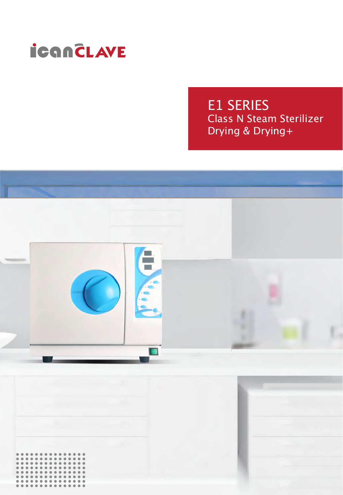

E1 SERIES Class N Steam Sterilizer Drying & Drying+



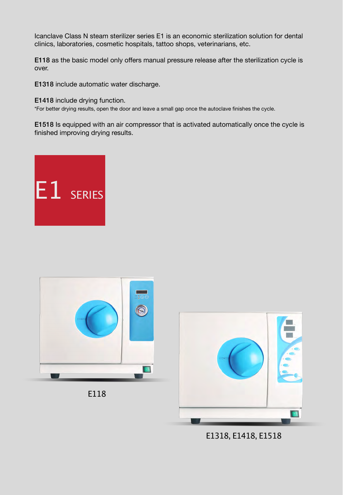Icanclave Class N steam sterilizer series E1 is an economic sterilization solution for dental clinics, laboratories, cosmetic hospitals, tattoo shops, veterinarians, etc.

E118 as the basic model only offers manual pressure release after the sterilization cycle is over.

E1318 include automatic water discharge.

E1418 include drying function.

\*For better drying results, open the door and leave a small gap once the autoclave finishes the cycle.

E1518 Is equipped with an air compressor that is activated automatically once the cycle is finished improving drying results.









E1318, E1418, E1518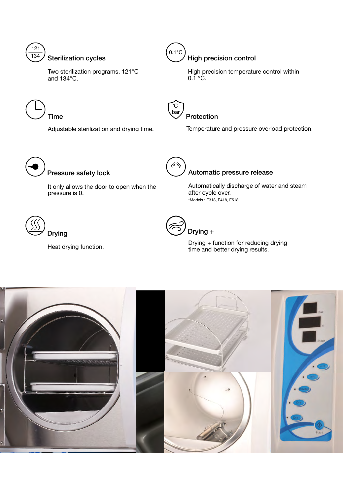

Two sterilization programs, 121°C and 134°C.



#### High precision control

High precision temperature control within  $0.\bar{1}$  °C.

Time

Adjustable sterilization and drying time.



#### Protection

Temperature and pressure overload protection.



It only allows the door to open when the pressure is 0.



## Pressure safety lock **Automatic pressure release**

Automatically discharge of water and steam after cycle over. \*Models : E318, E418, E518.



Heat drying function.



Drying + function for reducing drying time and better drying results.

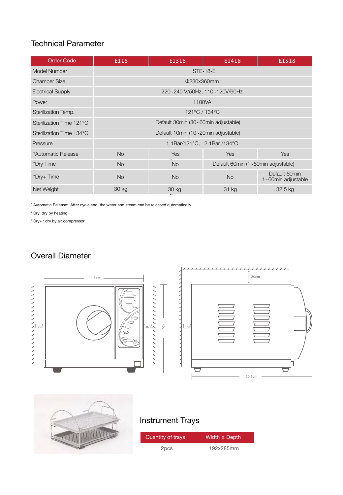### Technical Parameter

| <b>Order Code</b>        | E118                                | E1318     | E1418                              | E1518                               |
|--------------------------|-------------------------------------|-----------|------------------------------------|-------------------------------------|
| Model Number             | <b>STE-18-E</b>                     |           |                                    |                                     |
| Chamber Size             | Φ230x360mm                          |           |                                    |                                     |
| <b>Electrical Supply</b> | 220~240 V/50Hz, 110~120V/60Hz       |           |                                    |                                     |
| Power                    | 1100VA                              |           |                                    |                                     |
| Sterilization Temp.      | 121°C / 134°C                       |           |                                    |                                     |
| Sterilization Time 121°C | Default 30min (30~60min adjustable) |           |                                    |                                     |
| Sterilization Time 134°C | Default 10min (10~20min adjustable) |           |                                    |                                     |
| Pressure                 | 1.1Bar/121°C, 2.1Bar /134°C         |           |                                    |                                     |
| *Automatic Release       | <b>No</b>                           | Yes       | <b>Yes</b>                         | <b>Yes</b>                          |
| *Dry Time                | <b>No</b>                           | <b>No</b> | Default 60min (1~60min adjustable) |                                     |
| *Dry+ Time               | <b>No</b>                           | <b>No</b> | <b>No</b>                          | Default 60min<br>1~60min adjustable |
| Net Weight               | 30 kg                               | 30 kg     | 31 kg                              | 32.5 kg                             |

\* Automatic Release: After cycle end, the water and steam can be released automatically.

\* Dry: dry by heating

\* Dry+ : dry by air compressor

# Overall Diameter





## Instrument Trays

| Quantity of trays | Width x Depth |
|-------------------|---------------|
| 2pcs              | 192x285mm     |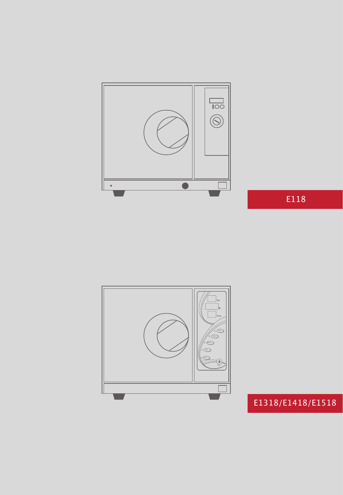

E118



# E1318/E1418/E1518